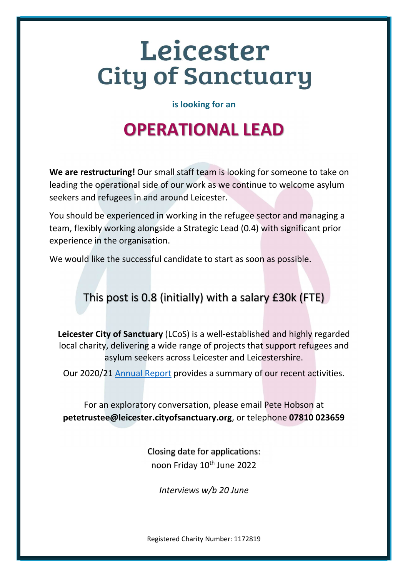# Leicester **City of Sanctuary**

is looking for an

## OPERATIONAL LEAD

We are restructuring! Our small staff team is looking for someone to take on leading the operational side of our work as we continue to welcome asylum seekers and refugees in and around Leicester.

You should be experienced in working in the refugee sector and managing a team, flexibly working alongside a Strategic Lead (0.4) with significant prior experience in the organisation.

We would like the successful candidate to start as soon as possible.

### This post is 0.8 (initially) with a salary £30k (FTE)

Leicester City of Sanctuary (LCoS) is a well-established and highly regarded local charity, delivering a wide range of projects that support refugees and asylum seekers across Leicester and Leicestershire.

Our 2020/21 Annual Report provides a summary of our recent activities.

For an exploratory conversation, please email Pete Hobson at petetrustee@leicester.cityofsanctuary.org, or telephone 07810 023659

> Closing date for applications: noon Friday 10<sup>th</sup> June 2022

Interviews w/b 20 June

Registered Charity Number: 1172819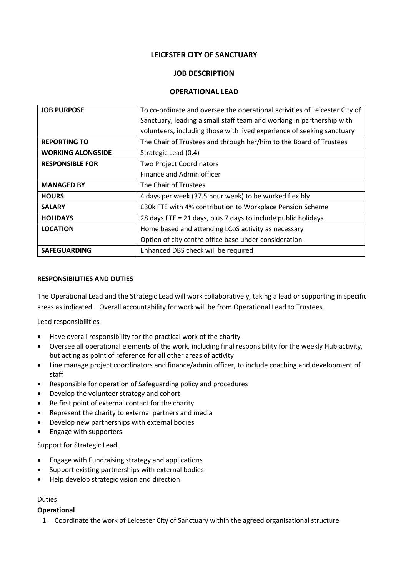#### **LEICESTER CITY OF SANCTUARY**

#### **JOB DESCRIPTION**

#### **OPERATIONAL LEAD**

| <b>JOB PURPOSE</b>       | To co-ordinate and oversee the operational activities of Leicester City of |
|--------------------------|----------------------------------------------------------------------------|
|                          | Sanctuary, leading a small staff team and working in partnership with      |
|                          | volunteers, including those with lived experience of seeking sanctuary     |
| <b>REPORTING TO</b>      | The Chair of Trustees and through her/him to the Board of Trustees         |
| <b>WORKING ALONGSIDE</b> | Strategic Lead (0.4)                                                       |
| <b>RESPONSIBLE FOR</b>   | <b>Two Project Coordinators</b>                                            |
|                          | Finance and Admin officer                                                  |
| <b>MANAGED BY</b>        | The Chair of Trustees                                                      |
| <b>HOURS</b>             | 4 days per week (37.5 hour week) to be worked flexibly                     |
| <b>SALARY</b>            | £30k FTE with 4% contribution to Workplace Pension Scheme                  |
| <b>HOLIDAYS</b>          | 28 days FTE = 21 days, plus 7 days to include public holidays              |
| <b>LOCATION</b>          | Home based and attending LCoS activity as necessary                        |
|                          | Option of city centre office base under consideration                      |
| <b>SAFEGUARDING</b>      | Enhanced DBS check will be required                                        |

#### **RESPONSIBILITIES AND DUTIES**

The Operational Lead and the Strategic Lead will work collaboratively, taking a lead or supporting in specific areas as indicated. Overall accountability for work will be from Operational Lead to Trustees.

#### Lead responsibilities

- Have overall responsibility for the practical work of the charity
- Oversee all operational elements of the work, including final responsibility for the weekly Hub activity, but acting as point of reference for all other areas of activity
- Line manage project coordinators and finance/admin officer, to include coaching and development of staff
- Responsible for operation of Safeguarding policy and procedures
- Develop the volunteer strategy and cohort
- Be first point of external contact for the charity
- Represent the charity to external partners and media
- Develop new partnerships with external bodies
- Engage with supporters

#### Support for Strategic Lead

- Engage with Fundraising strategy and applications
- Support existing partnerships with external bodies
- Help develop strategic vision and direction

#### Duties

#### **Operational**

1. Coordinate the work of Leicester City of Sanctuary within the agreed organisational structure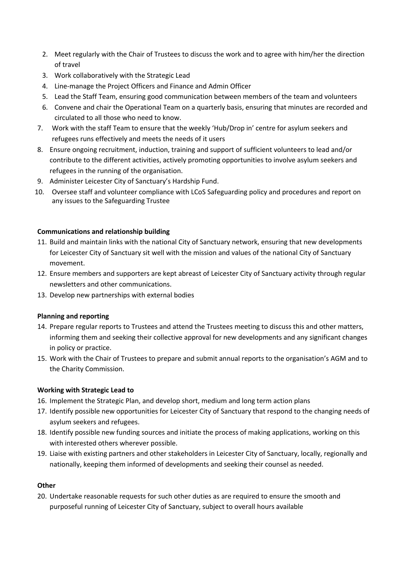- 2. Meet regularly with the Chair of Trustees to discuss the work and to agree with him/her the direction of travel
- 3. Work collaboratively with the Strategic Lead
- 4. Line-manage the Project Officers and Finance and Admin Officer
- 5. Lead the Staff Team, ensuring good communication between members of the team and volunteers
- 6. Convene and chair the Operational Team on a quarterly basis, ensuring that minutes are recorded and circulated to all those who need to know.
- 7. Work with the staff Team to ensure that the weekly 'Hub/Drop in' centre for asylum seekers and refugees runs effectively and meets the needs of it users
- 8. Ensure ongoing recruitment, induction, training and support of sufficient volunteers to lead and/or contribute to the different activities, actively promoting opportunities to involve asylum seekers and refugees in the running of the organisation.
- 9. Administer Leicester City of Sanctuary's Hardship Fund.
- 10. Oversee staff and volunteer compliance with LCoS Safeguarding policy and procedures and report on any issues to the Safeguarding Trustee

#### **Communications and relationship building**

- 11. Build and maintain links with the national City of Sanctuary network, ensuring that new developments for Leicester City of Sanctuary sit well with the mission and values of the national City of Sanctuary movement.
- 12. Ensure members and supporters are kept abreast of Leicester City of Sanctuary activity through regular newsletters and other communications.
- 13. Develop new partnerships with external bodies

#### **Planning and reporting**

- 14. Prepare regular reports to Trustees and attend the Trustees meeting to discuss this and other matters, informing them and seeking their collective approval for new developments and any significant changes in policy or practice.
- 15. Work with the Chair of Trustees to prepare and submit annual reports to the organisation's AGM and to the Charity Commission.

#### **Working with Strategic Lead to**

- 16. Implement the Strategic Plan, and develop short, medium and long term action plans
- 17. Identify possible new opportunities for Leicester City of Sanctuary that respond to the changing needs of asylum seekers and refugees.
- 18. Identify possible new funding sources and initiate the process of making applications, working on this with interested others wherever possible.
- 19. Liaise with existing partners and other stakeholders in Leicester City of Sanctuary, locally, regionally and nationally, keeping them informed of developments and seeking their counsel as needed.

#### **Other**

20. Undertake reasonable requests for such other duties as are required to ensure the smooth and purposeful running of Leicester City of Sanctuary, subject to overall hours available